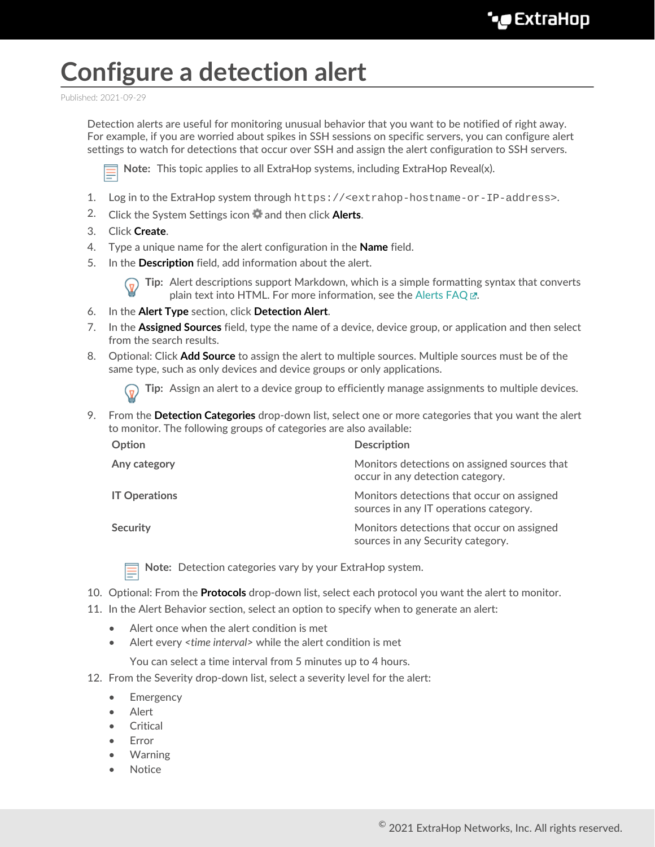## **Configure a detection alert**

Published: 2021-09-29

Detection alerts are useful for monitoring unusual behavior that you want to be notified of right away. For example, if you are worried about spikes in SSH sessions on specific servers, you can configure alert settings to watch for detections that occur over SSH and assign the alert configuration to SSH servers.



**Note:** This topic applies to all ExtraHop systems, including ExtraHop Reveal(x).

- 1. Log in to the ExtraHop system through https://<extrahop-hostname-or-IP-address>.
- 2. Click the System Settings icon **a** and then click **Alerts**.
- 3. Click **Create**.
- 4. Type a unique name for the alert configuration in the **Name** field.
- 5. In the **Description** field, add information about the alert.



**Tip:** Alert descriptions support Markdown, which is a simple formatting syntax that converts plain text into HTML. For more information, see the Alerts FAQ E.

- 6. In the **Alert Type** section, click **Detection Alert**.
- 7. In the **Assigned Sources** field, type the name of a device, device group, or application and then select from the search results.
- 8. Optional: Click **Add Source** to assign the alert to multiple sources. Multiple sources must be of the same type, such as only devices and device groups or only applications.

**Tip:** Assign an alert to a device group to efficiently manage assignments to multiple devices.

9. From the **Detection Categories** drop-down list, select one or more categories that you want the alert to monitor. The following groups of categories are also available:

| Option               | <b>Description</b>                                                                   |
|----------------------|--------------------------------------------------------------------------------------|
| Any category         | Monitors detections on assigned sources that<br>occur in any detection category.     |
| <b>IT Operations</b> | Monitors detections that occur on assigned<br>sources in any IT operations category. |
| <b>Security</b>      | Monitors detections that occur on assigned<br>sources in any Security category.      |

**Note:** Detection categories vary by your ExtraHop system.

- 10. Optional: From the **Protocols** drop-down list, select each protocol you want the alert to monitor.
- 11. In the Alert Behavior section, select an option to specify when to generate an alert:
	- Alert once when the alert condition is met
	- Alert every *<time interval>* while the alert condition is met

You can select a time interval from 5 minutes up to 4 hours.

- 12. From the Severity drop-down list, select a severity level for the alert:
	- **Emergency**
	- **Alert**
	- **Critical**
	- **Error**
	- Warning
	- Notice